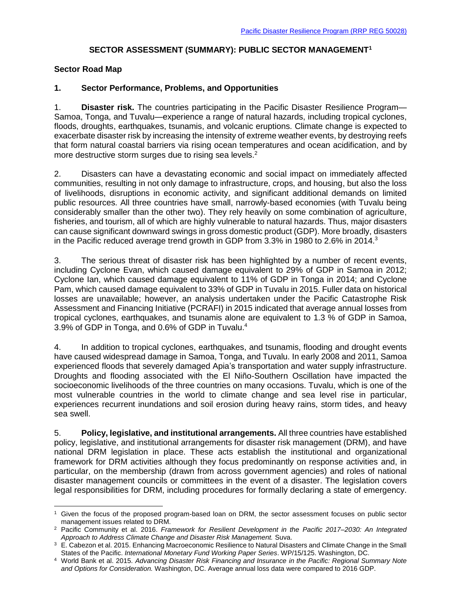## **SECTOR ASSESSMENT (SUMMARY): PUBLIC SECTOR MANAGEMENT<sup>1</sup>**

### **Sector Road Map**

 $\overline{a}$ 

## **1. Sector Performance, Problems, and Opportunities**

1. **Disaster risk.** The countries participating in the Pacific Disaster Resilience Program— Samoa, Tonga, and Tuvalu—experience a range of natural hazards, including tropical cyclones, floods, droughts, earthquakes, tsunamis, and volcanic eruptions. Climate change is expected to exacerbate disaster risk by increasing the intensity of extreme weather events, by destroying reefs that form natural coastal barriers via rising ocean temperatures and ocean acidification, and by more destructive storm surges due to rising sea levels.<sup>2</sup>

2. Disasters can have a devastating economic and social impact on immediately affected communities, resulting in not only damage to infrastructure, crops, and housing, but also the loss of livelihoods, disruptions in economic activity, and significant additional demands on limited public resources. All three countries have small, narrowly-based economies (with Tuvalu being considerably smaller than the other two). They rely heavily on some combination of agriculture, fisheries, and tourism, all of which are highly vulnerable to natural hazards. Thus, major disasters can cause significant downward swings in gross domestic product (GDP). More broadly, disasters in the Pacific reduced average trend growth in GDP from 3.3% in 1980 to 2.6% in 2014.<sup>3</sup>

3. The serious threat of disaster risk has been highlighted by a number of recent events, including Cyclone Evan, which caused damage equivalent to 29% of GDP in Samoa in 2012; Cyclone Ian, which caused damage equivalent to 11% of GDP in Tonga in 2014; and Cyclone Pam, which caused damage equivalent to 33% of GDP in Tuvalu in 2015. Fuller data on historical losses are unavailable; however, an analysis undertaken under the Pacific Catastrophe Risk Assessment and Financing Initiative (PCRAFI) in 2015 indicated that average annual losses from tropical cyclones, earthquakes, and tsunamis alone are equivalent to 1.3 % of GDP in Samoa, 3.9% of GDP in Tonga, and 0.6% of GDP in Tuvalu.<sup>4</sup>

4. In addition to tropical cyclones, earthquakes, and tsunamis, flooding and drought events have caused widespread damage in Samoa, Tonga, and Tuvalu. In early 2008 and 2011, Samoa experienced floods that severely damaged Apia's transportation and water supply infrastructure. Droughts and flooding associated with the El Niño-Southern Oscillation have impacted the socioeconomic livelihoods of the three countries on many occasions. Tuvalu, which is one of the most vulnerable countries in the world to climate change and sea level rise in particular, experiences recurrent inundations and soil erosion during heavy rains, storm tides, and heavy sea swell.

5. **Policy, legislative, and institutional arrangements.** All three countries have established policy, legislative, and institutional arrangements for disaster risk management (DRM), and have national DRM legislation in place. These acts establish the institutional and organizational framework for DRM activities although they focus predominantly on response activities and, in particular, on the membership (drawn from across government agencies) and roles of national disaster management councils or committees in the event of a disaster. The legislation covers legal responsibilities for DRM, including procedures for formally declaring a state of emergency.

<sup>1</sup> Given the focus of the proposed program-based loan on DRM, the sector assessment focuses on public sector management issues related to DRM.

<sup>2</sup> Pacific Community et al. 2016. *Framework for Resilient Development in the Pacific 2017–2030: An Integrated Approach to Address Climate Change and Disaster Risk Management.* Suva.

 $3\text{ E}$ . Cabezon et al. 2015. Enhancing Macroeconomic Resilience to Natural Disasters and Climate Change in the Small States of the Pacific. *International Monetary Fund Working Paper Series*. WP/15/125. Washington, DC.

<sup>4</sup> World Bank et al. 2015. *Advancing Disaster Risk Financing and Insurance in the Pacific: Regional Summary Note and Options for Consideration.* Washington, DC. Average annual loss data were compared to 2016 GDP.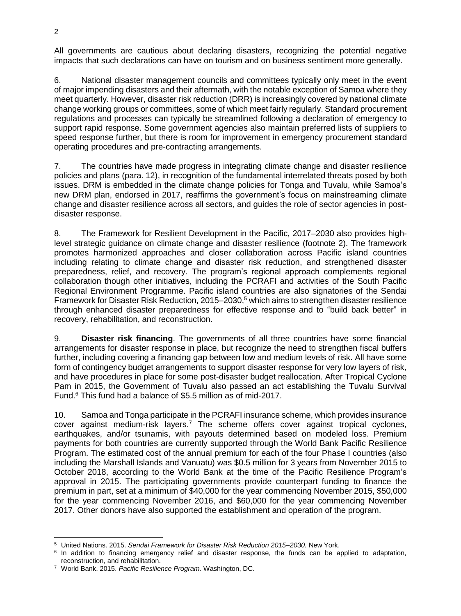All governments are cautious about declaring disasters, recognizing the potential negative impacts that such declarations can have on tourism and on business sentiment more generally.

6. National disaster management councils and committees typically only meet in the event of major impending disasters and their aftermath, with the notable exception of Samoa where they meet quarterly. However, disaster risk reduction (DRR) is increasingly covered by national climate change working groups or committees, some of which meet fairly regularly. Standard procurement regulations and processes can typically be streamlined following a declaration of emergency to support rapid response. Some government agencies also maintain preferred lists of suppliers to speed response further, but there is room for improvement in emergency procurement standard operating procedures and pre-contracting arrangements.

7. The countries have made progress in integrating climate change and disaster resilience policies and plans (para. 12), in recognition of the fundamental interrelated threats posed by both issues. DRM is embedded in the climate change policies for Tonga and Tuvalu, while Samoa's new DRM plan, endorsed in 2017, reaffirms the government's focus on mainstreaming climate change and disaster resilience across all sectors, and guides the role of sector agencies in postdisaster response.

8. The Framework for Resilient Development in the Pacific, 2017–2030 also provides highlevel strategic guidance on climate change and disaster resilience (footnote 2). The framework promotes harmonized approaches and closer collaboration across Pacific island countries including relating to climate change and disaster risk reduction, and strengthened disaster preparedness, relief, and recovery. The program's regional approach complements regional collaboration though other initiatives, including the PCRAFI and activities of the South Pacific Regional Environment Programme. Pacific island countries are also signatories of the Sendai Framework for Disaster Risk Reduction, 2015–2030,<sup>5</sup> which aims to strengthen disaster resilience through enhanced disaster preparedness for effective response and to "build back better" in recovery, rehabilitation, and reconstruction.

9. **Disaster risk financing**. The governments of all three countries have some financial arrangements for disaster response in place, but recognize the need to strengthen fiscal buffers further, including covering a financing gap between low and medium levels of risk. All have some form of contingency budget arrangements to support disaster response for very low layers of risk, and have procedures in place for some post-disaster budget reallocation. After Tropical Cyclone Pam in 2015, the Government of Tuvalu also passed an act establishing the Tuvalu Survival Fund. <sup>6</sup> This fund had a balance of \$5.5 million as of mid-2017.

10. Samoa and Tonga participate in the PCRAFI insurance scheme, which provides insurance cover against medium-risk layers.<sup>7</sup> The scheme offers cover against tropical cyclones, earthquakes, and/or tsunamis, with payouts determined based on modeled loss. Premium payments for both countries are currently supported through the World Bank Pacific Resilience Program. The estimated cost of the annual premium for each of the four Phase I countries (also including the Marshall Islands and Vanuatu) was \$0.5 million for 3 years from November 2015 to October 2018, according to the World Bank at the time of the Pacific Resilience Program's approval in 2015. The participating governments provide counterpart funding to finance the premium in part, set at a minimum of \$40,000 for the year commencing November 2015, \$50,000 for the year commencing November 2016, and \$60,000 for the year commencing November 2017. Other donors have also supported the establishment and operation of the program.

 $\overline{\phantom{a}}$ <sup>5</sup> United Nations. 2015. *Sendai Framework for Disaster Risk Reduction 2015–2030.* New York.

<sup>&</sup>lt;sup>6</sup> In addition to financing emergency relief and disaster response, the funds can be applied to adaptation, reconstruction, and rehabilitation.

<sup>7</sup> World Bank. 2015. *Pacific Resilience Program*. Washington, DC.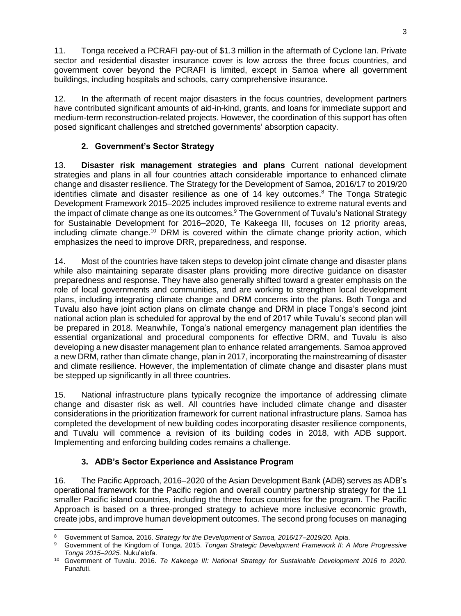11. Tonga received a PCRAFI pay-out of \$1.3 million in the aftermath of Cyclone Ian. Private sector and residential disaster insurance cover is low across the three focus countries, and government cover beyond the PCRAFI is limited, except in Samoa where all government buildings, including hospitals and schools, carry comprehensive insurance.

12. In the aftermath of recent major disasters in the focus countries, development partners have contributed significant amounts of aid-in-kind, grants, and loans for immediate support and medium-term reconstruction-related projects. However, the coordination of this support has often posed significant challenges and stretched governments' absorption capacity.

# **2. Government's Sector Strategy**

13. **Disaster risk management strategies and plans** Current national development strategies and plans in all four countries attach considerable importance to enhanced climate change and disaster resilience. The Strategy for the Development of Samoa, 2016/17 to 2019/20 identifies climate and disaster resilience as one of 14 key outcomes. <sup>8</sup> The Tonga Strategic Development Framework 2015–2025 includes improved resilience to extreme natural events and the impact of climate change as one its outcomes.<sup>9</sup> The Government of Tuvalu's National Strategy for Sustainable Development for 2016–2020, Te Kakeega III, focuses on 12 priority areas, including climate change.<sup>10</sup> DRM is covered within the climate change priority action, which emphasizes the need to improve DRR, preparedness, and response.

14. Most of the countries have taken steps to develop joint climate change and disaster plans while also maintaining separate disaster plans providing more directive guidance on disaster preparedness and response. They have also generally shifted toward a greater emphasis on the role of local governments and communities, and are working to strengthen local development plans, including integrating climate change and DRM concerns into the plans. Both Tonga and Tuvalu also have joint action plans on climate change and DRM in place Tonga's second joint national action plan is scheduled for approval by the end of 2017 while Tuvalu's second plan will be prepared in 2018. Meanwhile, Tonga's national emergency management plan identifies the essential organizational and procedural components for effective DRM, and Tuvalu is also developing a new disaster management plan to enhance related arrangements. Samoa approved a new DRM, rather than climate change, plan in 2017, incorporating the mainstreaming of disaster and climate resilience. However, the implementation of climate change and disaster plans must be stepped up significantly in all three countries.

15. National infrastructure plans typically recognize the importance of addressing climate change and disaster risk as well. All countries have included climate change and disaster considerations in the prioritization framework for current national infrastructure plans. Samoa has completed the development of new building codes incorporating disaster resilience components, and Tuvalu will commence a revision of its building codes in 2018, with ADB support. Implementing and enforcing building codes remains a challenge.

## **3. ADB's Sector Experience and Assistance Program**

16. The Pacific Approach, 2016–2020 of the Asian Development Bank (ADB) serves as ADB's operational framework for the Pacific region and overall country partnership strategy for the 11 smaller Pacific island countries, including the three focus countries for the program. The Pacific Approach is based on a three-pronged strategy to achieve more inclusive economic growth, create jobs, and improve human development outcomes. The second prong focuses on managing

 $\overline{a}$ <sup>8</sup> Government of Samoa. 2016. *Strategy for the Development of Samoa, 2016/17–2019/20*. Apia.

<sup>9</sup> Government of the Kingdom of Tonga. 2015. *Tongan Strategic Development Framework II: A More Progressive Tonga 2015–2025.* Nuku'alofa.

<sup>10</sup> Government of Tuvalu. 2016. *Te Kakeega III: National Strategy for Sustainable Development 2016 to 2020.* Funafuti.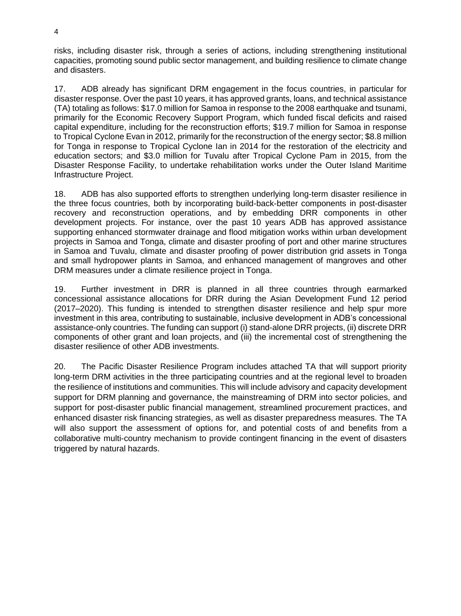risks, including disaster risk, through a series of actions, including strengthening institutional capacities, promoting sound public sector management, and building resilience to climate change and disasters.

17. ADB already has significant DRM engagement in the focus countries, in particular for disaster response. Over the past 10 years, it has approved grants, loans, and technical assistance (TA) totaling as follows: \$17.0 million for Samoa in response to the 2008 earthquake and tsunami, primarily for the Economic Recovery Support Program, which funded fiscal deficits and raised capital expenditure, including for the reconstruction efforts; \$19.7 million for Samoa in response to Tropical Cyclone Evan in 2012, primarily for the reconstruction of the energy sector; \$8.8 million for Tonga in response to Tropical Cyclone Ian in 2014 for the restoration of the electricity and education sectors; and \$3.0 million for Tuvalu after Tropical Cyclone Pam in 2015, from the Disaster Response Facility, to undertake rehabilitation works under the Outer Island Maritime Infrastructure Project.

18. ADB has also supported efforts to strengthen underlying long-term disaster resilience in the three focus countries, both by incorporating build-back-better components in post-disaster recovery and reconstruction operations, and by embedding DRR components in other development projects. For instance, over the past 10 years ADB has approved assistance supporting enhanced stormwater drainage and flood mitigation works within urban development projects in Samoa and Tonga, climate and disaster proofing of port and other marine structures in Samoa and Tuvalu, climate and disaster proofing of power distribution grid assets in Tonga and small hydropower plants in Samoa, and enhanced management of mangroves and other DRM measures under a climate resilience project in Tonga.

19. Further investment in DRR is planned in all three countries through earmarked concessional assistance allocations for DRR during the Asian Development Fund 12 period (2017–2020). This funding is intended to strengthen disaster resilience and help spur more investment in this area, contributing to sustainable, inclusive development in ADB's concessional assistance-only countries. The funding can support (i) stand-alone DRR projects, (ii) discrete DRR components of other grant and loan projects, and (iii) the incremental cost of strengthening the disaster resilience of other ADB investments.

20. The Pacific Disaster Resilience Program includes attached TA that will support priority long-term DRM activities in the three participating countries and at the regional level to broaden the resilience of institutions and communities. This will include advisory and capacity development support for DRM planning and governance, the mainstreaming of DRM into sector policies, and support for post-disaster public financial management, streamlined procurement practices, and enhanced disaster risk financing strategies, as well as disaster preparedness measures. The TA will also support the assessment of options for, and potential costs of and benefits from a collaborative multi-country mechanism to provide contingent financing in the event of disasters triggered by natural hazards.